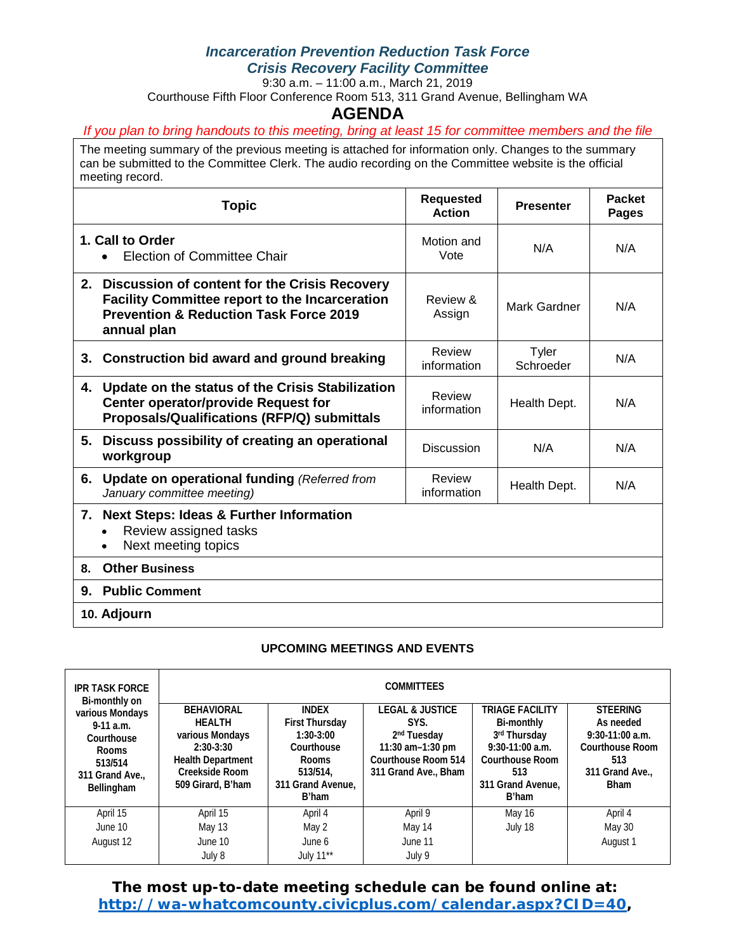# *Incarceration Prevention Reduction Task Force Crisis Recovery Facility Committee*

9:30 a.m. – 11:00 a.m., March 21, 2019 Courthouse Fifth Floor Conference Room 513, 311 Grand Avenue, Bellingham WA

# **AGENDA**

#### *If you plan to bring handouts to this meeting, bring at least 15 for committee members and the file*

The meeting summary of the previous meeting is attached for information only. Changes to the summary can be submitted to the Committee Clerk. The audio recording on the Committee website is the official meeting record.

| Topic                                                                                                                                                                         | <b>Requested</b><br><b>Action</b> | <b>Presenter</b>    | <b>Packet</b><br>Pages |  |  |
|-------------------------------------------------------------------------------------------------------------------------------------------------------------------------------|-----------------------------------|---------------------|------------------------|--|--|
| 1. Call to Order<br>Election of Committee Chair                                                                                                                               | Motion and<br>Vote                | N/A                 | N/A                    |  |  |
| 2. Discussion of content for the Crisis Recovery<br><b>Facility Committee report to the Incarceration</b><br><b>Prevention &amp; Reduction Task Force 2019</b><br>annual plan | Review &<br>Assign                | <b>Mark Gardner</b> | N/A                    |  |  |
| 3. Construction bid award and ground breaking                                                                                                                                 | Review<br>information             | Tyler<br>Schroeder  | N/A                    |  |  |
| Update on the status of the Crisis Stabilization<br>4.<br><b>Center operator/provide Request for</b><br>Proposals/Qualifications (RFP/Q) submittals                           | Review<br>information             | Health Dept.        | N/A                    |  |  |
| Discuss possibility of creating an operational<br>5.<br>workgroup                                                                                                             | <b>Discussion</b>                 | N/A                 | N/A                    |  |  |
| 6. Update on operational funding (Referred from<br>January committee meeting)                                                                                                 | Review<br>information             | Health Dept.        | N/A                    |  |  |
| 7. Next Steps: Ideas & Further Information<br>Review assigned tasks<br>Next meeting topics                                                                                    |                                   |                     |                        |  |  |
| <b>Other Business</b><br>8.                                                                                                                                                   |                                   |                     |                        |  |  |
| <b>Public Comment</b><br>9.                                                                                                                                                   |                                   |                     |                        |  |  |
| 10. Adjourn                                                                                                                                                                   |                                   |                     |                        |  |  |

#### **UPCOMING MEETINGS AND EVENTS**

| <b>IPR TASK FORCE</b><br>Bi-monthly on                                                                                                                                                                                                       | <b>COMMITTEES</b>                                                                                                     |                                                                                                                                  |                                                                                                                                          |                                                                                                                      |                               |  |  |  |  |
|----------------------------------------------------------------------------------------------------------------------------------------------------------------------------------------------------------------------------------------------|-----------------------------------------------------------------------------------------------------------------------|----------------------------------------------------------------------------------------------------------------------------------|------------------------------------------------------------------------------------------------------------------------------------------|----------------------------------------------------------------------------------------------------------------------|-------------------------------|--|--|--|--|
| <b>BEHAVIORAL</b><br>various Mondays<br><b>HEALTH</b><br>$9-11$ a.m.<br>various Mondays<br>Courthouse<br>$2:30-3:30$<br>Rooms<br><b>Health Department</b><br>513/514<br>Creekside Room<br>311 Grand Ave.,<br>509 Girard, B'ham<br>Bellingham | <b>INDEX</b><br><b>First Thursday</b><br>$1:30-3:00$<br>Courthouse<br>Rooms<br>513/514.<br>311 Grand Avenue.<br>B'ham | <b>LEGAL &amp; JUSTICE</b><br>SYS.<br>2 <sup>nd</sup> Tuesday<br>11:30 am-1:30 pm<br>Courthouse Room 514<br>311 Grand Ave., Bham | <b>TRIAGE FACILITY</b><br>Bi-monthly<br>3rd Thursday<br>$9:30-11:00$ a.m.<br><b>Courthouse Room</b><br>513<br>311 Grand Avenue,<br>B'ham | <b>STEERING</b><br>As needed<br>$9:30-11:00$ a.m.<br><b>Courthouse Room</b><br>513<br>311 Grand Ave.,<br><b>Bham</b> |                               |  |  |  |  |
| April 15<br>June 10<br>August 12                                                                                                                                                                                                             | April 15<br>May 13<br>June 10<br>July 8                                                                               | April 4<br>May 2<br>June 6<br>July 11**                                                                                          | April 9<br>May 14<br>June 11<br>July 9                                                                                                   | May 16<br>July 18                                                                                                    | April 4<br>May 30<br>August 1 |  |  |  |  |

## **The most up-to-date meeting schedule can be found online at: [http://wa-whatcomcounty.civicplus.com/calendar.aspx?CID=40,](http://wa-whatcomcounty.civicplus.com/calendar.aspx?CID=40)**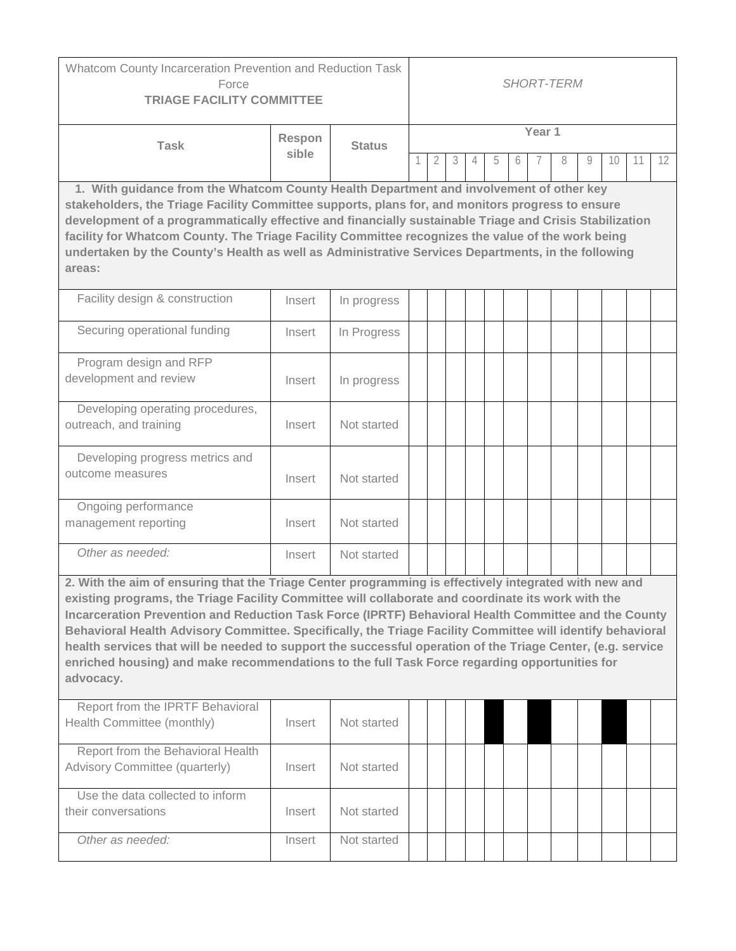| Whatcom County Incarceration Prevention and Reduction Task<br>Force<br><b>TRIAGE FACILITY COMMITTEE</b>                                                                                                                                                                                                                                                                                                                                                                                                                                                                                                                                                        |        | <b>SHORT-TERM</b> |                         |   |   |   |   |   |  |   |   |    |    |                   |
|----------------------------------------------------------------------------------------------------------------------------------------------------------------------------------------------------------------------------------------------------------------------------------------------------------------------------------------------------------------------------------------------------------------------------------------------------------------------------------------------------------------------------------------------------------------------------------------------------------------------------------------------------------------|--------|-------------------|-------------------------|---|---|---|---|---|--|---|---|----|----|-------------------|
| <b>Task</b>                                                                                                                                                                                                                                                                                                                                                                                                                                                                                                                                                                                                                                                    | Respon |                   | Year 1<br><b>Status</b> |   |   |   |   |   |  |   |   |    |    |                   |
|                                                                                                                                                                                                                                                                                                                                                                                                                                                                                                                                                                                                                                                                | sible  |                   |                         | 2 | 3 | 4 | 5 | 6 |  | 8 | 9 | 10 | 11 | $12 \overline{ }$ |
| 1. With guidance from the Whatcom County Health Department and involvement of other key<br>stakeholders, the Triage Facility Committee supports, plans for, and monitors progress to ensure<br>development of a programmatically effective and financially sustainable Triage and Crisis Stabilization<br>facility for Whatcom County. The Triage Facility Committee recognizes the value of the work being<br>undertaken by the County's Health as well as Administrative Services Departments, in the following<br>areas:                                                                                                                                    |        |                   |                         |   |   |   |   |   |  |   |   |    |    |                   |
| Facility design & construction                                                                                                                                                                                                                                                                                                                                                                                                                                                                                                                                                                                                                                 | Insert | In progress       |                         |   |   |   |   |   |  |   |   |    |    |                   |
| Securing operational funding                                                                                                                                                                                                                                                                                                                                                                                                                                                                                                                                                                                                                                   | Insert | In Progress       |                         |   |   |   |   |   |  |   |   |    |    |                   |
| Program design and RFP<br>development and review                                                                                                                                                                                                                                                                                                                                                                                                                                                                                                                                                                                                               | Insert | In progress       |                         |   |   |   |   |   |  |   |   |    |    |                   |
| Developing operating procedures,<br>outreach, and training                                                                                                                                                                                                                                                                                                                                                                                                                                                                                                                                                                                                     | Insert | Not started       |                         |   |   |   |   |   |  |   |   |    |    |                   |
| Developing progress metrics and<br>outcome measures                                                                                                                                                                                                                                                                                                                                                                                                                                                                                                                                                                                                            | Insert | Not started       |                         |   |   |   |   |   |  |   |   |    |    |                   |
| Ongoing performance<br>management reporting                                                                                                                                                                                                                                                                                                                                                                                                                                                                                                                                                                                                                    | Insert | Not started       |                         |   |   |   |   |   |  |   |   |    |    |                   |
| Other as needed:                                                                                                                                                                                                                                                                                                                                                                                                                                                                                                                                                                                                                                               | Insert | Not started       |                         |   |   |   |   |   |  |   |   |    |    |                   |
| 2. With the aim of ensuring that the Triage Center programming is effectively integrated with new and<br>existing programs, the Triage Facility Committee will collaborate and coordinate its work with the<br>Incarceration Prevention and Reduction Task Force (IPRTF) Behavioral Health Committee and the County<br>Behavioral Health Advisory Committee. Specifically, the Triage Facility Committee will identify behavioral<br>health services that will be needed to support the successful operation of the Triage Center, (e.g. service<br>enriched housing) and make recommendations to the full Task Force regarding opportunities for<br>advocacy. |        |                   |                         |   |   |   |   |   |  |   |   |    |    |                   |
| Report from the IPRTF Behavioral<br>Health Committee (monthly)                                                                                                                                                                                                                                                                                                                                                                                                                                                                                                                                                                                                 | Insert | Not started       |                         |   |   |   |   |   |  |   |   |    |    |                   |
| Report from the Behavioral Health<br>Advisory Committee (quarterly)                                                                                                                                                                                                                                                                                                                                                                                                                                                                                                                                                                                            | Insert | Not started       |                         |   |   |   |   |   |  |   |   |    |    |                   |
| Use the data collected to inform<br>their conversations                                                                                                                                                                                                                                                                                                                                                                                                                                                                                                                                                                                                        | Insert | Not started       |                         |   |   |   |   |   |  |   |   |    |    |                   |
| Other as needed:                                                                                                                                                                                                                                                                                                                                                                                                                                                                                                                                                                                                                                               | Insert | Not started       |                         |   |   |   |   |   |  |   |   |    |    |                   |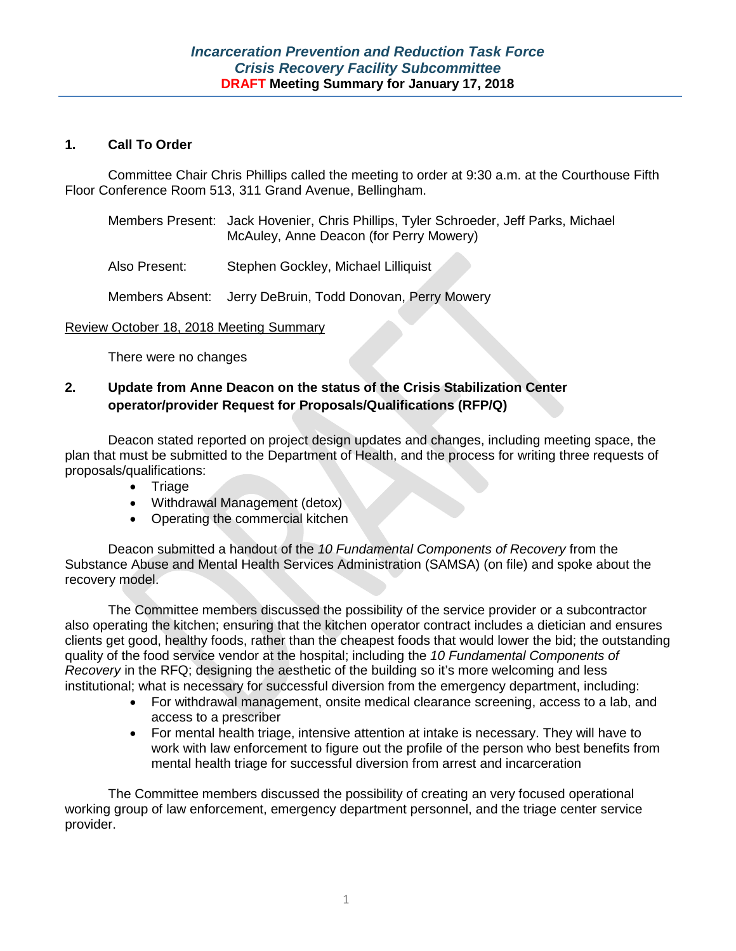#### **1. Call To Order**

Committee Chair Chris Phillips called the meeting to order at 9:30 a.m. at the Courthouse Fifth Floor Conference Room 513, 311 Grand Avenue, Bellingham.

| Members Present: Jack Hovenier, Chris Phillips, Tyler Schroeder, Jeff Parks, Michael |
|--------------------------------------------------------------------------------------|
| McAuley, Anne Deacon (for Perry Mowery)                                              |

Also Present: Stephen Gockley, Michael Lilliquist

Members Absent: Jerry DeBruin, Todd Donovan, Perry Mowery

#### Review October 18, 2018 Meeting Summary

There were no changes

#### **2. Update from Anne Deacon on the status of the Crisis Stabilization Center operator/provider Request for Proposals/Qualifications (RFP/Q)**

Deacon stated reported on project design updates and changes, including meeting space, the plan that must be submitted to the Department of Health, and the process for writing three requests of proposals/qualifications:

- Triage
- Withdrawal Management (detox)
- Operating the commercial kitchen

Deacon submitted a handout of the *10 Fundamental Components of Recovery* from the Substance Abuse and Mental Health Services Administration (SAMSA) (on file) and spoke about the recovery model.

The Committee members discussed the possibility of the service provider or a subcontractor also operating the kitchen; ensuring that the kitchen operator contract includes a dietician and ensures clients get good, healthy foods, rather than the cheapest foods that would lower the bid; the outstanding quality of the food service vendor at the hospital; including the *10 Fundamental Components of Recovery* in the RFQ; designing the aesthetic of the building so it's more welcoming and less institutional; what is necessary for successful diversion from the emergency department, including:

- For withdrawal management, onsite medical clearance screening, access to a lab, and access to a prescriber
- For mental health triage, intensive attention at intake is necessary. They will have to work with law enforcement to figure out the profile of the person who best benefits from mental health triage for successful diversion from arrest and incarceration

The Committee members discussed the possibility of creating an very focused operational working group of law enforcement, emergency department personnel, and the triage center service provider.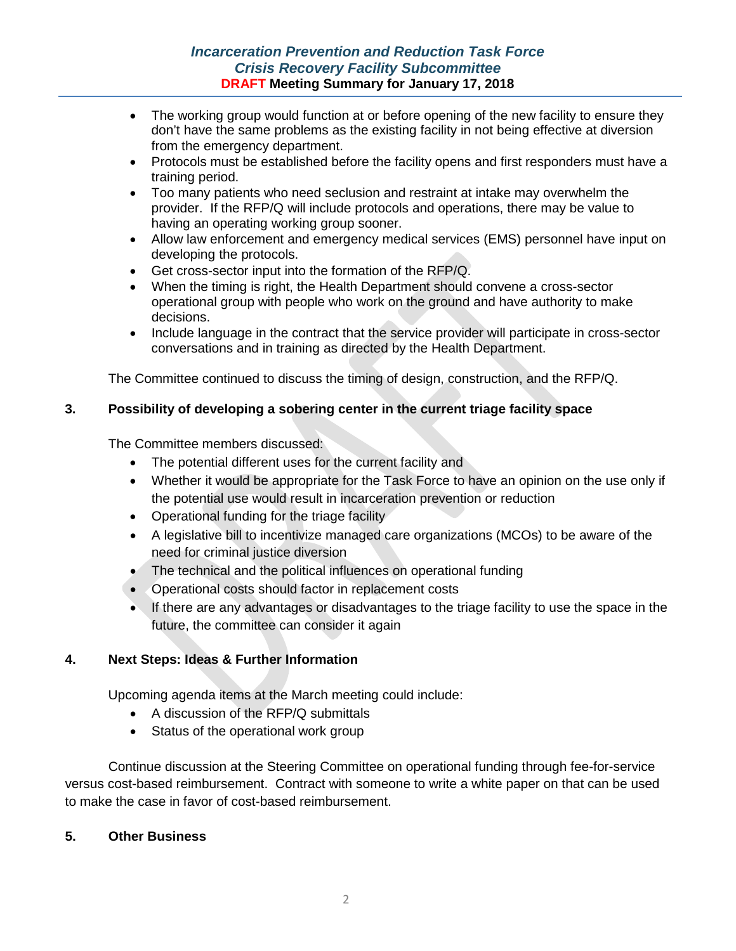## *Incarceration Prevention and Reduction Task Force Crisis Recovery Facility Subcommittee* **DRAFT Meeting Summary for January 17, 2018**

- The working group would function at or before opening of the new facility to ensure they don't have the same problems as the existing facility in not being effective at diversion from the emergency department.
- Protocols must be established before the facility opens and first responders must have a training period.
- Too many patients who need seclusion and restraint at intake may overwhelm the provider. If the RFP/Q will include protocols and operations, there may be value to having an operating working group sooner.
- Allow law enforcement and emergency medical services (EMS) personnel have input on developing the protocols.
- Get cross-sector input into the formation of the RFP/Q.
- When the timing is right, the Health Department should convene a cross-sector operational group with people who work on the ground and have authority to make decisions.
- Include language in the contract that the service provider will participate in cross-sector conversations and in training as directed by the Health Department.

The Committee continued to discuss the timing of design, construction, and the RFP/Q.

# **3. Possibility of developing a sobering center in the current triage facility space**

The Committee members discussed:

- The potential different uses for the current facility and
- Whether it would be appropriate for the Task Force to have an opinion on the use only if the potential use would result in incarceration prevention or reduction
- Operational funding for the triage facility
- A legislative bill to incentivize managed care organizations (MCOs) to be aware of the need for criminal justice diversion
- The technical and the political influences on operational funding
- Operational costs should factor in replacement costs
- If there are any advantages or disadvantages to the triage facility to use the space in the future, the committee can consider it again

## **4. Next Steps: Ideas & Further Information**

Upcoming agenda items at the March meeting could include:

- A discussion of the RFP/Q submittals
- Status of the operational work group

Continue discussion at the Steering Committee on operational funding through fee-for-service versus cost-based reimbursement. Contract with someone to write a white paper on that can be used to make the case in favor of cost-based reimbursement.

## **5. Other Business**